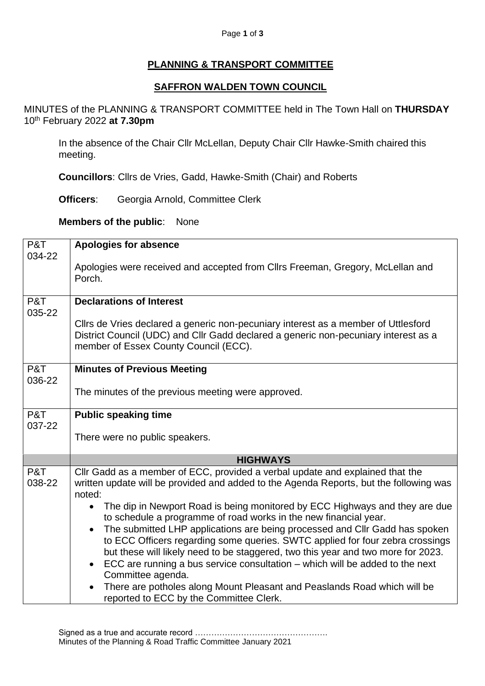## **PLANNING & TRANSPORT COMMITTEE**

## **SAFFRON WALDEN TOWN COUNCIL**

MINUTES of the PLANNING & TRANSPORT COMMITTEE held in The Town Hall on **THURSDAY** 10 th February 2022 **at 7.30pm**

In the absence of the Chair Cllr McLellan, Deputy Chair Cllr Hawke-Smith chaired this meeting.

**Councillors**: Cllrs de Vries, Gadd, Hawke-Smith (Chair) and Roberts

**Officers**: Georgia Arnold, Committee Clerk

**Members of the public**: None

| P&T           | <b>Apologies for absence</b>                                                                                                                                                      |
|---------------|-----------------------------------------------------------------------------------------------------------------------------------------------------------------------------------|
| 034-22        | Apologies were received and accepted from Cllrs Freeman, Gregory, McLellan and                                                                                                    |
|               | Porch.                                                                                                                                                                            |
| P&T<br>035-22 | <b>Declarations of Interest</b>                                                                                                                                                   |
|               | Cllrs de Vries declared a generic non-pecuniary interest as a member of Uttlesford                                                                                                |
|               | District Council (UDC) and Cllr Gadd declared a generic non-pecuniary interest as a<br>member of Essex County Council (ECC).                                                      |
| P&T<br>036-22 | <b>Minutes of Previous Meeting</b>                                                                                                                                                |
|               | The minutes of the previous meeting were approved.                                                                                                                                |
| P&T<br>037-22 | <b>Public speaking time</b>                                                                                                                                                       |
|               | There were no public speakers.                                                                                                                                                    |
|               | <b>HIGHWAYS</b>                                                                                                                                                                   |
| P&T<br>038-22 | Cllr Gadd as a member of ECC, provided a verbal update and explained that the<br>written update will be provided and added to the Agenda Reports, but the following was<br>noted: |
|               | The dip in Newport Road is being monitored by ECC Highways and they are due<br>$\bullet$<br>to schedule a programme of road works in the new financial year.                      |
|               | The submitted LHP applications are being processed and CIIr Gadd has spoken                                                                                                       |
|               | to ECC Officers regarding some queries. SWTC applied for four zebra crossings<br>but these will likely need to be staggered, two this year and two more for 2023.                 |
|               | ECC are running a bus service consultation – which will be added to the next<br>Committee agenda.                                                                                 |
|               | There are potholes along Mount Pleasant and Peaslands Road which will be<br>reported to ECC by the Committee Clerk.                                                               |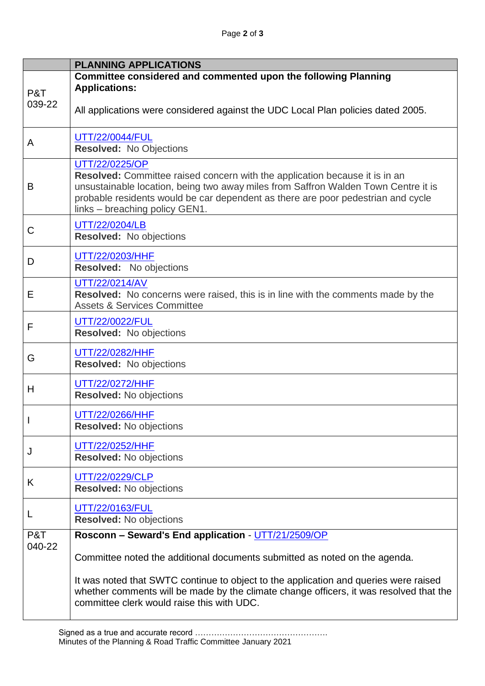|        | <b>PLANNING APPLICATIONS</b>                                                                                                                                                                                                                                                                                     |
|--------|------------------------------------------------------------------------------------------------------------------------------------------------------------------------------------------------------------------------------------------------------------------------------------------------------------------|
| P&T    | Committee considered and commented upon the following Planning<br><b>Applications:</b>                                                                                                                                                                                                                           |
| 039-22 | All applications were considered against the UDC Local Plan policies dated 2005.                                                                                                                                                                                                                                 |
| A      | UTT/22/0044/FUL<br><b>Resolved: No Objections</b>                                                                                                                                                                                                                                                                |
| B      | UTT/22/0225/OP<br><b>Resolved:</b> Committee raised concern with the application because it is in an<br>unsustainable location, being two away miles from Saffron Walden Town Centre it is<br>probable residents would be car dependent as there are poor pedestrian and cycle<br>links - breaching policy GEN1. |
| C      | UTT/22/0204/LB<br><b>Resolved:</b> No objections                                                                                                                                                                                                                                                                 |
| D      | UTT/22/0203/HHF<br>Resolved: No objections                                                                                                                                                                                                                                                                       |
| E      | UTT/22/0214/AV<br>Resolved: No concerns were raised, this is in line with the comments made by the<br><b>Assets &amp; Services Committee</b>                                                                                                                                                                     |
| F      | UTT/22/0022/FUL<br>Resolved: No objections                                                                                                                                                                                                                                                                       |
| G      | UTT/22/0282/HHF<br><b>Resolved:</b> No objections                                                                                                                                                                                                                                                                |
| H      | UTT/22/0272/HHF<br><b>Resolved:</b> No objections                                                                                                                                                                                                                                                                |
|        | UTT/22/0266/HHF<br><b>Resolved:</b> No objections                                                                                                                                                                                                                                                                |
| J      | UTT/22/0252/HHF<br><b>Resolved:</b> No objections                                                                                                                                                                                                                                                                |
| K      | UTT/22/0229/CLP<br><b>Resolved:</b> No objections                                                                                                                                                                                                                                                                |
| L      | UTT/22/0163/FUL<br>Resolved: No objections                                                                                                                                                                                                                                                                       |
| P&T    | Rosconn - Seward's End application - UTT/21/2509/OP                                                                                                                                                                                                                                                              |
| 040-22 | Committee noted the additional documents submitted as noted on the agenda.                                                                                                                                                                                                                                       |
|        | It was noted that SWTC continue to object to the application and queries were raised<br>whether comments will be made by the climate change officers, it was resolved that the<br>committee clerk would raise this with UDC.                                                                                     |